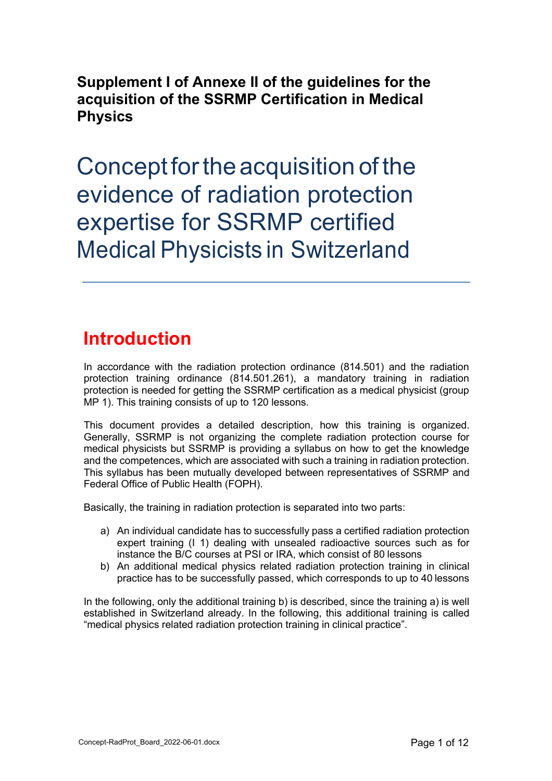**Supplement I of Annexe II of the guidelines for the acquisition of the SSRMP Certification in Medical Physics**

Concept forthe acquisition of the evidence of radiation protection expertise for SSRMP certified Medical Physicists in Switzerland

## **Introduction**

In accordance with the radiation protection ordinance (814.501) and the radiation protection training ordinance (814.501.261), a mandatory training in radiation protection is needed for getting the SSRMP certification as a medical physicist (group MP 1). This training consists of up to 120 lessons.

This document provides a detailed description, how this training is organized. Generally, SSRMP is not organizing the complete radiation protection course for medical physicists but SSRMP is providing a syllabus on how to get the knowledge and the competences, which are associated with such a training in radiation protection. This syllabus has been mutually developed between representatives of SSRMP and Federal Office of Public Health (FOPH).

Basically, the training in radiation protection is separated into two parts:

- a) An individual candidate has to successfully pass a certified radiation protection expert training (I 1) dealing with unsealed radioactive sources such as for instance the B/C courses at PSI or IRA, which consist of 80 lessons
- b) An additional medical physics related radiation protection training in clinical practice has to be successfully passed, which corresponds to up to 40 lessons

In the following, only the additional training b) is described, since the training a) is well established in Switzerland already. In the following, this additional training is called "medical physics related radiation protection training in clinical practice".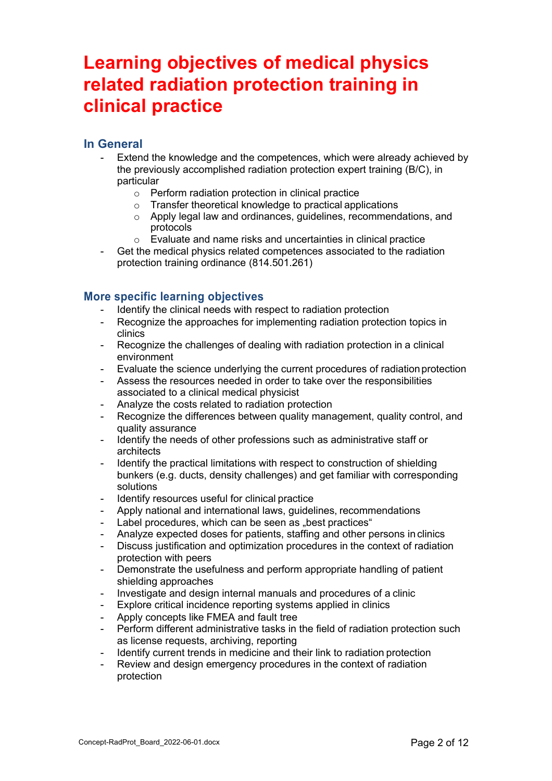## **Learning objectives of medical physics related radiation protection training in clinical practice**

## **In General**

- Extend the knowledge and the competences, which were already achieved by the previously accomplished radiation protection expert training (B/C), in particular
	- o Perform radiation protection in clinical practice
	- o Transfer theoretical knowledge to practical applications
	- o Apply legal law and ordinances, guidelines, recommendations, and protocols
	- o Evaluate and name risks and uncertainties in clinical practice
- Get the medical physics related competences associated to the radiation protection training ordinance (814.501.261)

#### **More specific learning objectives**

- Identify the clinical needs with respect to radiation protection
- Recognize the approaches for implementing radiation protection topics in clinics
- Recognize the challenges of dealing with radiation protection in a clinical environment
- Evaluate the science underlying the current procedures of radiation protection
- Assess the resources needed in order to take over the responsibilities associated to a clinical medical physicist
- Analyze the costs related to radiation protection
- Recognize the differences between quality management, quality control, and quality assurance
- Identify the needs of other professions such as administrative staff or architects
- Identify the practical limitations with respect to construction of shielding bunkers (e.g. ducts, density challenges) and get familiar with corresponding solutions
- Identify resources useful for clinical practice
- Apply national and international laws, quidelines, recommendations
- Label procedures, which can be seen as "best practices"
- Analyze expected doses for patients, staffing and other persons in clinics
- Discuss justification and optimization procedures in the context of radiation protection with peers
- Demonstrate the usefulness and perform appropriate handling of patient shielding approaches
- Investigate and design internal manuals and procedures of a clinic
- Explore critical incidence reporting systems applied in clinics
- Apply concepts like FMEA and fault tree
- Perform different administrative tasks in the field of radiation protection such as license requests, archiving, reporting
- Identify current trends in medicine and their link to radiation protection
- Review and design emergency procedures in the context of radiation protection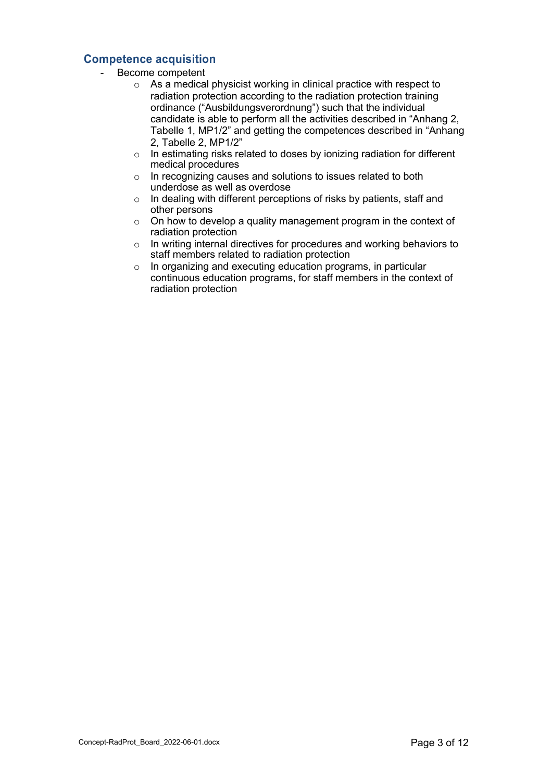## **Competence acquisition**

- Become competent
	- o As a medical physicist working in clinical practice with respect to radiation protection according to the radiation protection training ordinance ("Ausbildungsverordnung") such that the individual candidate is able to perform all the activities described in "Anhang 2, Tabelle 1, MP1/2" and getting the competences described in "Anhang 2, Tabelle 2, MP1/2"
	- o In estimating risks related to doses by ionizing radiation for different medical procedures
	- o In recognizing causes and solutions to issues related to both underdose as well as overdose
	- o In dealing with different perceptions of risks by patients, staff and other persons
	- $\circ$  On how to develop a quality management program in the context of radiation protection
	- o In writing internal directives for procedures and working behaviors to staff members related to radiation protection
	- o In organizing and executing education programs, in particular continuous education programs, for staff members in the context of radiation protection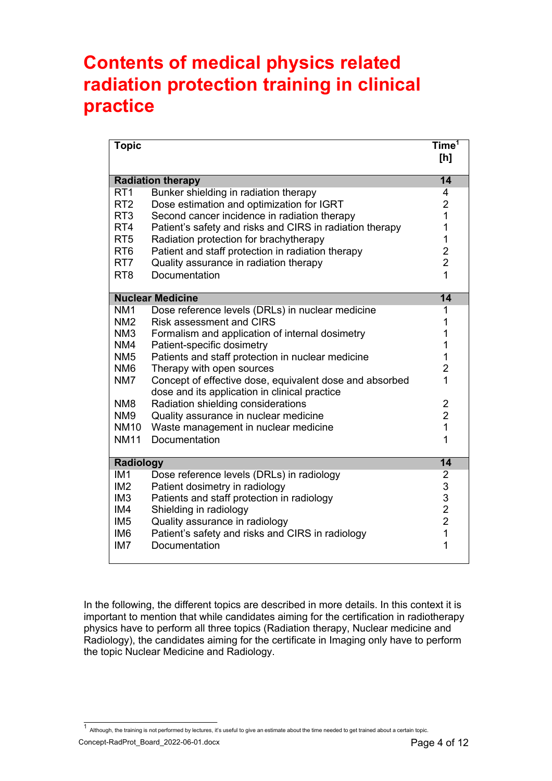## **Contents of medical physics related radiation protection training in clinical practice**

| <b>Topic</b>                                |                                                          | Time <sup>1</sup><br>[h]                        |
|---------------------------------------------|----------------------------------------------------------|-------------------------------------------------|
| $\overline{14}$<br><b>Radiation therapy</b> |                                                          |                                                 |
| RT <sub>1</sub>                             | Bunker shielding in radiation therapy                    | 4                                               |
| RT <sub>2</sub>                             | Dose estimation and optimization for IGRT                | $\overline{2}$                                  |
| RT <sub>3</sub>                             | Second cancer incidence in radiation therapy             | $\overline{1}$                                  |
| RT4                                         | Patient's safety and risks and CIRS in radiation therapy | 1                                               |
| RT <sub>5</sub>                             | Radiation protection for brachytherapy                   | 1                                               |
| RT <sub>6</sub>                             | Patient and staff protection in radiation therapy        | $\frac{2}{2}$                                   |
| RT7                                         | Quality assurance in radiation therapy                   |                                                 |
| RT <sub>8</sub>                             | Documentation                                            | 1                                               |
|                                             | <b>Nuclear Medicine</b>                                  | 14                                              |
| NM <sub>1</sub>                             | Dose reference levels (DRLs) in nuclear medicine         | 1                                               |
| NM <sub>2</sub>                             | <b>Risk assessment and CIRS</b>                          | 1                                               |
| NM <sub>3</sub>                             | Formalism and application of internal dosimetry          | 1                                               |
| NM4                                         | Patient-specific dosimetry                               | 1                                               |
| NM <sub>5</sub>                             | Patients and staff protection in nuclear medicine        | 1                                               |
| NM <sub>6</sub>                             | Therapy with open sources                                | $\overline{2}$                                  |
| NM7                                         | Concept of effective dose, equivalent dose and absorbed  | 1                                               |
|                                             | dose and its application in clinical practice            |                                                 |
| NM <sub>8</sub>                             | Radiation shielding considerations                       | $\overline{\mathbf{c}}$                         |
| NM <sub>9</sub>                             | Quality assurance in nuclear medicine                    | $\overline{2}$                                  |
| <b>NM10</b>                                 | Waste management in nuclear medicine                     | $\overline{1}$                                  |
| <b>NM11</b>                                 | Documentation                                            | 1                                               |
| $\overline{14}$<br><b>Radiology</b>         |                                                          |                                                 |
| IM <sub>1</sub>                             | Dose reference levels (DRLs) in radiology                | $\overline{2}$                                  |
| IM <sub>2</sub>                             | Patient dosimetry in radiology                           | $\begin{array}{c} 3 \\ 3 \\ 2 \\ 2 \end{array}$ |
| IM <sub>3</sub>                             | Patients and staff protection in radiology               |                                                 |
| IM4                                         | Shielding in radiology                                   |                                                 |
| IM <sub>5</sub>                             | Quality assurance in radiology                           |                                                 |
| IM <sub>6</sub>                             | Patient's safety and risks and CIRS in radiology         | $\overline{1}$                                  |
| IM <sub>7</sub>                             | Documentation                                            | 1                                               |

In the following, the different topics are described in more details. In this context it is important to mention that while candidates aiming for the certification in radiotherapy physics have to perform all three topics (Radiation therapy, Nuclear medicine and Radiology), the candidates aiming for the certificate in Imaging only have to perform the topic Nuclear Medicine and Radiology.

Concept-RadProt\_Board\_2022-06-01.docx Page 4 of 12  $^1$  Although, the training is not performed by lectures, it's useful to give an estimate about the time needed to get trained about a certain topic.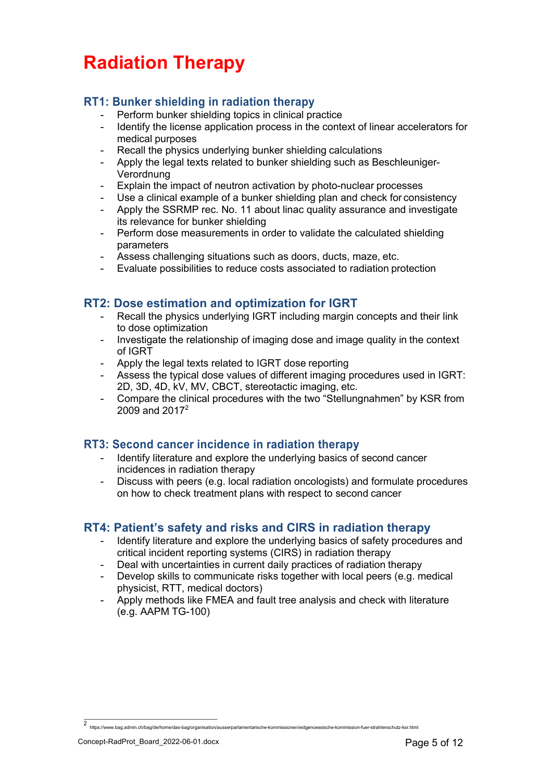# **Radiation Therapy**

## **RT1: Bunker shielding in radiation therapy**

- Perform bunker shielding topics in clinical practice
- Identify the license application process in the context of linear accelerators for medical purposes
- Recall the physics underlying bunker shielding calculations
- Apply the legal texts related to bunker shielding such as Beschleuniger-Verordnung
- Explain the impact of neutron activation by photo-nuclear processes
- Use a clinical example of a bunker shielding plan and check for consistency
- Apply the SSRMP rec. No. 11 about linac quality assurance and investigate its relevance for bunker shielding
- Perform dose measurements in order to validate the calculated shielding parameters
- Assess challenging situations such as doors, ducts, maze, etc.
- Evaluate possibilities to reduce costs associated to radiation protection

## **RT2: Dose estimation and optimization for IGRT**

- Recall the physics underlying IGRT including margin concepts and their link to dose optimization
- Investigate the relationship of imaging dose and image quality in the context of IGRT
- Apply the legal texts related to IGRT dose reporting
- Assess the typical dose values of different imaging procedures used in IGRT: 2D, 3D, 4D, kV, MV, CBCT, stereotactic imaging, etc.
- Compare the clinical procedures with the two "Stellungnahmen" by KSR from 2009 and 20172

## **RT3: Second cancer incidence in radiation therapy**

- Identify literature and explore the underlying basics of second cancer incidences in radiation therapy
- Discuss with peers (e.g. local radiation oncologists) and formulate procedures on how to check treatment plans with respect to second cancer

## **RT4: Patient's safety and risks and CIRS in radiation therapy**

- Identify literature and explore the underlying basics of safety procedures and critical incident reporting systems (CIRS) in radiation therapy
- Deal with uncertainties in current daily practices of radiation therapy
- Develop skills to communicate risks together with local peers (e.g. medical physicist, RTT, medical doctors)
- Apply methods like FMEA and fault tree analysis and check with literature (e.g. AAPM TG-100)

<sup>2</sup> https://www.bag.admin.ch/bag/de/home/das-bag/organisation/ausserparlamentarische-kommissionen/eidgenoessische-kommission-fuer-strahlenschutz-ksr.html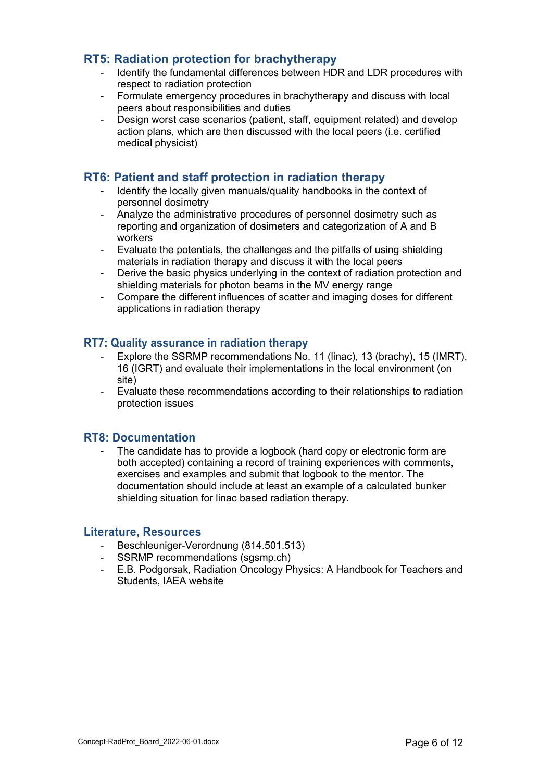## **RT5: Radiation protection for brachytherapy**

- Identify the fundamental differences between HDR and LDR procedures with respect to radiation protection
- Formulate emergency procedures in brachytherapy and discuss with local peers about responsibilities and duties
- Design worst case scenarios (patient, staff, equipment related) and develop action plans, which are then discussed with the local peers (i.e. certified medical physicist)

## **RT6: Patient and staff protection in radiation therapy**

- Identify the locally given manuals/quality handbooks in the context of personnel dosimetry
- Analyze the administrative procedures of personnel dosimetry such as reporting and organization of dosimeters and categorization of A and B workers
- Evaluate the potentials, the challenges and the pitfalls of using shielding materials in radiation therapy and discuss it with the local peers
- Derive the basic physics underlying in the context of radiation protection and shielding materials for photon beams in the MV energy range
- Compare the different influences of scatter and imaging doses for different applications in radiation therapy

### **RT7: Quality assurance in radiation therapy**

- Explore the SSRMP recommendations No. 11 (linac), 13 (brachy), 15 (IMRT), 16 (IGRT) and evaluate their implementations in the local environment (on site)
- Evaluate these recommendations according to their relationships to radiation protection issues

### **RT8: Documentation**

The candidate has to provide a logbook (hard copy or electronic form are both accepted) containing a record of training experiences with comments, exercises and examples and submit that logbook to the mentor. The documentation should include at least an example of a calculated bunker shielding situation for linac based radiation therapy.

#### **Literature, Resources**

- Beschleuniger-Verordnung (814.501.513)
- SSRMP recommendations (sgsmp.ch)
- E.B. Podgorsak, Radiation Oncology Physics: A Handbook for Teachers and Students, IAEA website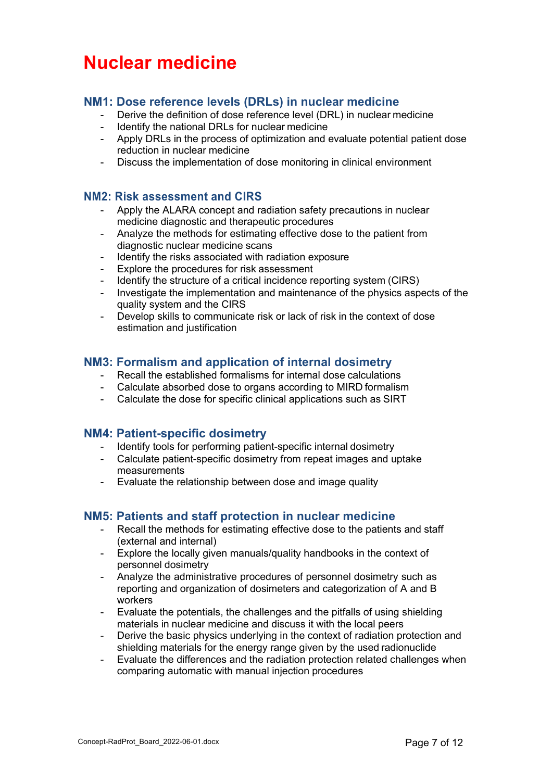## **Nuclear medicine**

## **NM1: Dose reference levels (DRLs) in nuclear medicine**

- Derive the definition of dose reference level (DRL) in nuclear medicine
- Identify the national DRLs for nuclear medicine
- Apply DRLs in the process of optimization and evaluate potential patient dose reduction in nuclear medicine
- Discuss the implementation of dose monitoring in clinical environment

### **NM2: Risk assessment and CIRS**

- Apply the ALARA concept and radiation safety precautions in nuclear medicine diagnostic and therapeutic procedures
- Analyze the methods for estimating effective dose to the patient from diagnostic nuclear medicine scans
- Identify the risks associated with radiation exposure
- Explore the procedures for risk assessment
- Identify the structure of a critical incidence reporting system (CIRS)
- Investigate the implementation and maintenance of the physics aspects of the quality system and the CIRS
- Develop skills to communicate risk or lack of risk in the context of dose estimation and justification

## **NM3: Formalism and application of internal dosimetry**

- Recall the established formalisms for internal dose calculations
- Calculate absorbed dose to organs according to MIRD formalism
- Calculate the dose for specific clinical applications such as SIRT

## **NM4: Patient-specific dosimetry**

- Identify tools for performing patient-specific internal dosimetry
- Calculate patient-specific dosimetry from repeat images and uptake measurements
- Evaluate the relationship between dose and image quality

## **NM5: Patients and staff protection in nuclear medicine**

- Recall the methods for estimating effective dose to the patients and staff (external and internal)
- Explore the locally given manuals/quality handbooks in the context of personnel dosimetry
- Analyze the administrative procedures of personnel dosimetry such as reporting and organization of dosimeters and categorization of A and B workers
- Evaluate the potentials, the challenges and the pitfalls of using shielding materials in nuclear medicine and discuss it with the local peers
- Derive the basic physics underlying in the context of radiation protection and shielding materials for the energy range given by the used radionuclide
- Evaluate the differences and the radiation protection related challenges when comparing automatic with manual injection procedures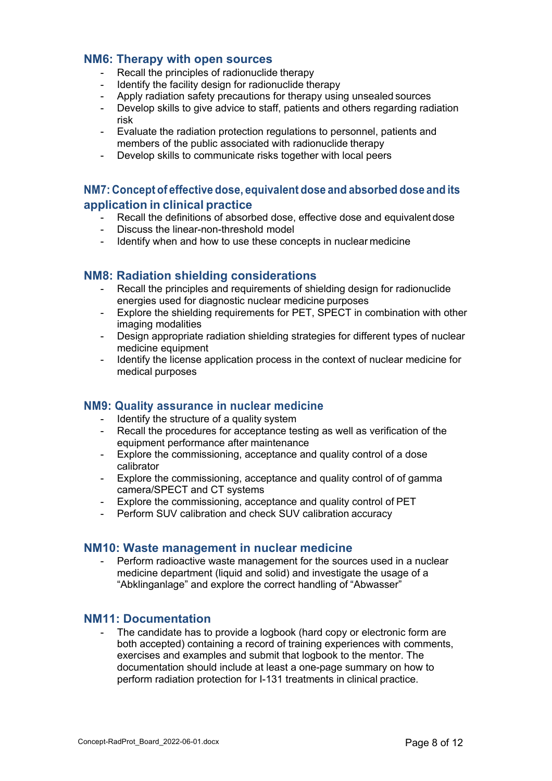### **NM6: Therapy with open sources**

- Recall the principles of radionuclide therapy
- Identify the facility design for radionuclide therapy
- Apply radiation safety precautions for therapy using unsealed sources
- Develop skills to give advice to staff, patients and others regarding radiation risk
- Evaluate the radiation protection regulations to personnel, patients and members of the public associated with radionuclide therapy
- Develop skills to communicate risks together with local peers

## **NM7: Concept of effective dose, equivalent dose and absorbed dose and its application in clinical practice**

- Recall the definitions of absorbed dose, effective dose and equivalent dose
- Discuss the linear-non-threshold model
- Identify when and how to use these concepts in nuclear medicine

## **NM8: Radiation shielding considerations**

- Recall the principles and requirements of shielding design for radionuclide energies used for diagnostic nuclear medicine purposes
- Explore the shielding requirements for PET, SPECT in combination with other imaging modalities
- Design appropriate radiation shielding strategies for different types of nuclear medicine equipment
- Identify the license application process in the context of nuclear medicine for medical purposes

### **NM9: Quality assurance in nuclear medicine**

- Identify the structure of a quality system
- Recall the procedures for acceptance testing as well as verification of the equipment performance after maintenance
- Explore the commissioning, acceptance and quality control of a dose calibrator
- Explore the commissioning, acceptance and quality control of of gamma camera/SPECT and CT systems
- Explore the commissioning, acceptance and quality control of PET
- Perform SUV calibration and check SUV calibration accuracy

### **NM10: Waste management in nuclear medicine**

Perform radioactive waste management for the sources used in a nuclear medicine department (liquid and solid) and investigate the usage of a "Abklinganlage" and explore the correct handling of "Abwasser"

### **NM11: Documentation**

The candidate has to provide a logbook (hard copy or electronic form are both accepted) containing a record of training experiences with comments, exercises and examples and submit that logbook to the mentor. The documentation should include at least a one-page summary on how to perform radiation protection for I-131 treatments in clinical practice.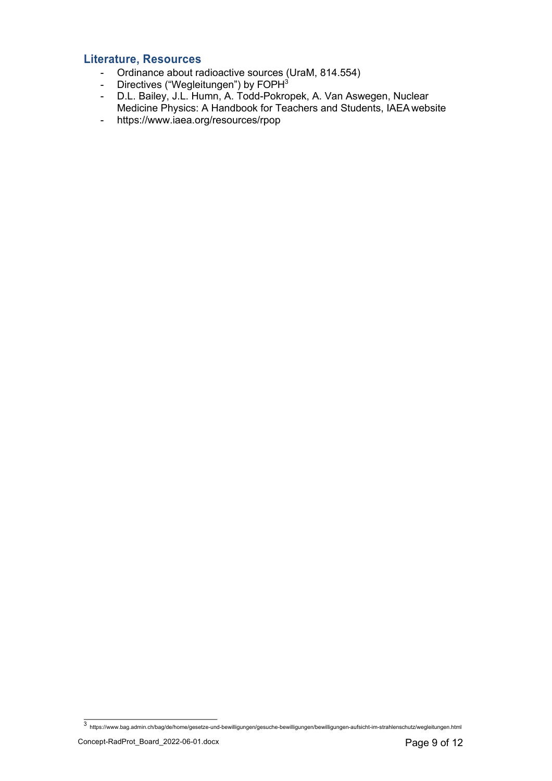## **Literature, Resources**

- Ordinance about radioactive sources (UraM, 814.554)
- Directives ("Wegleitungen") by FOPH<sup>3</sup>
- D.L. Bailey, J.L. Humn, A. Todd-Pokropek, A. Van Aswegen, Nuclear Medicine Physics: A Handbook for Teachers and Students, IAEA website
- https://www.iaea.org/resources/rpop

<sup>3</sup> https://www.bag.admin.ch/bag/de/home/gesetze-und-bewilligungen/gesuche-bewilligungen/bewilligungen-aufsicht-im-strahlenschutz/wegleitungen.html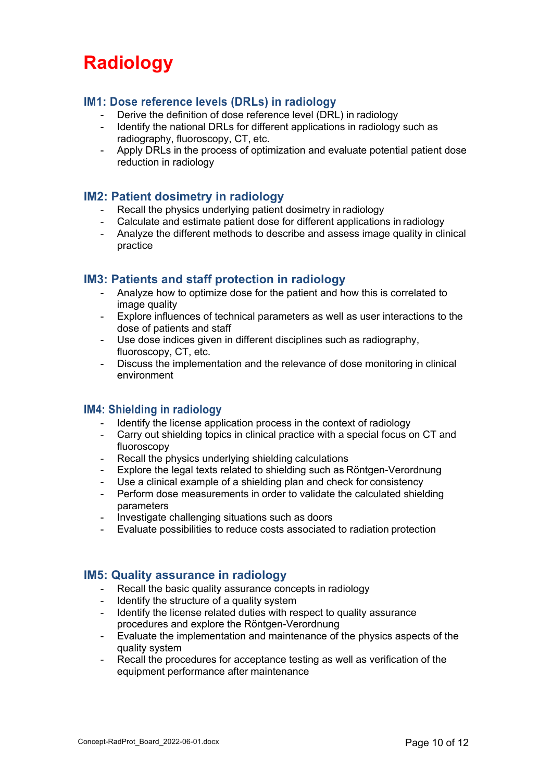## **Radiology**

## **IM1: Dose reference levels (DRLs) in radiology**

- Derive the definition of dose reference level (DRL) in radiology
- Identify the national DRLs for different applications in radiology such as radiography, fluoroscopy, CT, etc.
- Apply DRLs in the process of optimization and evaluate potential patient dose reduction in radiology

### **IM2: Patient dosimetry in radiology**

- Recall the physics underlying patient dosimetry in radiology
- Calculate and estimate patient dose for different applications in radiology
- Analyze the different methods to describe and assess image quality in clinical practice

### **IM3: Patients and staff protection in radiology**

- Analyze how to optimize dose for the patient and how this is correlated to image quality
- Explore influences of technical parameters as well as user interactions to the dose of patients and staff
- Use dose indices given in different disciplines such as radiography, fluoroscopy, CT, etc.
- Discuss the implementation and the relevance of dose monitoring in clinical environment

### **IM4: Shielding in radiology**

- Identify the license application process in the context of radiology
- Carry out shielding topics in clinical practice with a special focus on CT and fluoroscopy
- Recall the physics underlying shielding calculations
- Explore the legal texts related to shielding such as Röntgen-Verordnung
- Use a clinical example of a shielding plan and check for consistency
- Perform dose measurements in order to validate the calculated shielding parameters
- Investigate challenging situations such as doors
- Evaluate possibilities to reduce costs associated to radiation protection

### **IM5: Quality assurance in radiology**

- Recall the basic quality assurance concepts in radiology
- Identify the structure of a quality system
- Identify the license related duties with respect to quality assurance procedures and explore the Röntgen-Verordnung
- Evaluate the implementation and maintenance of the physics aspects of the quality system
- Recall the procedures for acceptance testing as well as verification of the equipment performance after maintenance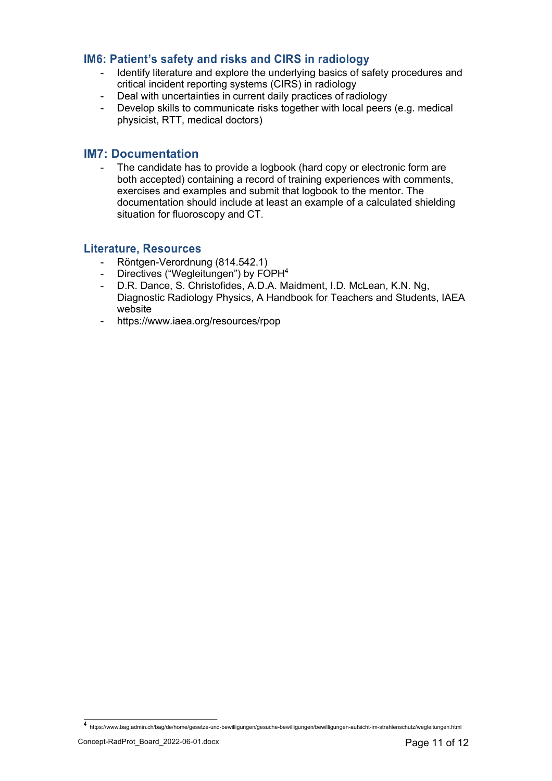## **IM6: Patient's safety and risks and CIRS in radiology**

- Identify literature and explore the underlying basics of safety procedures and critical incident reporting systems (CIRS) in radiology
- Deal with uncertainties in current daily practices of radiology
- Develop skills to communicate risks together with local peers (e.g. medical physicist, RTT, medical doctors)

#### **IM7: Documentation**

The candidate has to provide a logbook (hard copy or electronic form are both accepted) containing a record of training experiences with comments, exercises and examples and submit that logbook to the mentor. The documentation should include at least an example of a calculated shielding situation for fluoroscopy and CT.

#### **Literature, Resources**

- Röntgen-Verordnung (814.542.1)
- Directives ("Wegleitungen") by FOPH<sup>4</sup>
- D.R. Dance, S. Christofides, A.D.A. Maidment, I.D. McLean, K.N. Ng, Diagnostic Radiology Physics, A Handbook for Teachers and Students, IAEA website
- https://www.iaea.org/resources/rpop

<sup>4</sup> https://www.bag.admin.ch/bag/de/home/gesetze-und-bewilligungen/gesuche-bewilligungen/bewilligungen-aufsicht-im-strahlenschutz/wegleitungen.html